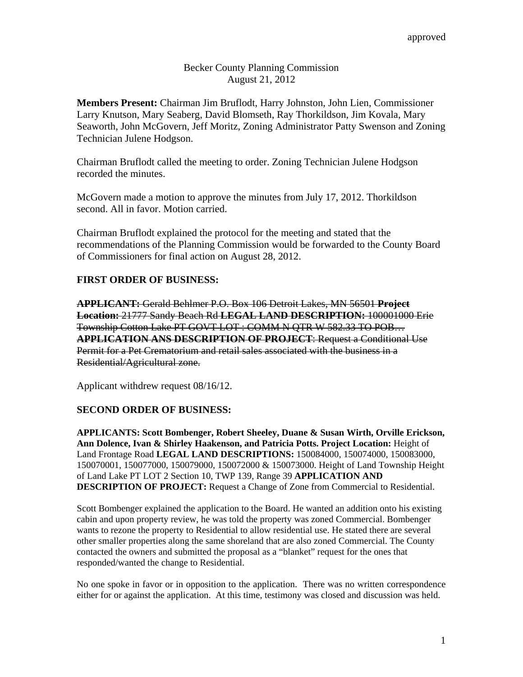## Becker County Planning Commission August 21, 2012

**Members Present:** Chairman Jim Bruflodt, Harry Johnston, John Lien, Commissioner Larry Knutson, Mary Seaberg, David Blomseth, Ray Thorkildson, Jim Kovala, Mary Seaworth, John McGovern, Jeff Moritz, Zoning Administrator Patty Swenson and Zoning Technician Julene Hodgson.

Chairman Bruflodt called the meeting to order. Zoning Technician Julene Hodgson recorded the minutes.

McGovern made a motion to approve the minutes from July 17, 2012. Thorkildson second. All in favor. Motion carried.

Chairman Bruflodt explained the protocol for the meeting and stated that the recommendations of the Planning Commission would be forwarded to the County Board of Commissioners for final action on August 28, 2012.

# **FIRST ORDER OF BUSINESS:**

**APPLICANT:** Gerald Behlmer P.O. Box 106 Detroit Lakes, MN 56501 **Project Location:** 21777 Sandy Beach Rd **LEGAL LAND DESCRIPTION:** 100001000 Erie Township Cotton Lake PT GOVT LOT : COMM N QTR W 582.33 TO POB… **APPLICATION ANS DESCRIPTION OF PROJECT**: Request a Conditional Use Permit for a Pet Crematorium and retail sales associated with the business in a Residential/Agricultural zone.

Applicant withdrew request 08/16/12.

## **SECOND ORDER OF BUSINESS:**

**APPLICANTS: Scott Bombenger, Robert Sheeley, Duane & Susan Wirth, Orville Erickson, Ann Dolence, Ivan & Shirley Haakenson, and Patricia Potts. Project Location:** Height of Land Frontage Road **LEGAL LAND DESCRIPTIONS:** 150084000, 150074000, 150083000, 150070001, 150077000, 150079000, 150072000 & 150073000. Height of Land Township Height of Land Lake PT LOT 2 Section 10, TWP 139, Range 39 **APPLICATION AND DESCRIPTION OF PROJECT:** Request a Change of Zone from Commercial to Residential.

Scott Bombenger explained the application to the Board. He wanted an addition onto his existing cabin and upon property review, he was told the property was zoned Commercial. Bombenger wants to rezone the property to Residential to allow residential use. He stated there are several other smaller properties along the same shoreland that are also zoned Commercial. The County contacted the owners and submitted the proposal as a "blanket" request for the ones that responded/wanted the change to Residential.

No one spoke in favor or in opposition to the application. There was no written correspondence either for or against the application. At this time, testimony was closed and discussion was held.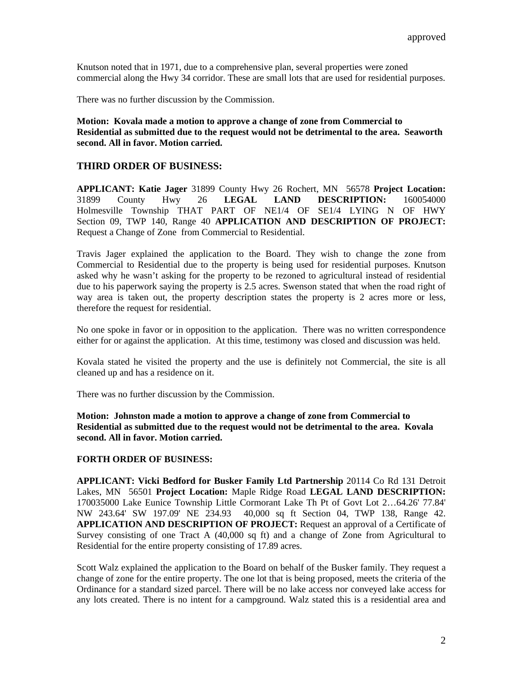Knutson noted that in 1971, due to a comprehensive plan, several properties were zoned commercial along the Hwy 34 corridor. These are small lots that are used for residential purposes.

There was no further discussion by the Commission.

**Motion: Kovala made a motion to approve a change of zone from Commercial to Residential as submitted due to the request would not be detrimental to the area. Seaworth second. All in favor. Motion carried.** 

### **THIRD ORDER OF BUSINESS:**

**APPLICANT: Katie Jager** 31899 County Hwy 26 Rochert, MN 56578 **Project Location:**  31899 County Hwy 26 **LEGAL LAND DESCRIPTION:** 160054000 Holmesville Township THAT PART OF NE1/4 OF SE1/4 LYING N OF HWY Section 09, TWP 140, Range 40 **APPLICATION AND DESCRIPTION OF PROJECT:** Request a Change of Zone from Commercial to Residential.

Travis Jager explained the application to the Board. They wish to change the zone from Commercial to Residential due to the property is being used for residential purposes. Knutson asked why he wasn't asking for the property to be rezoned to agricultural instead of residential due to his paperwork saying the property is 2.5 acres. Swenson stated that when the road right of way area is taken out, the property description states the property is 2 acres more or less, therefore the request for residential.

No one spoke in favor or in opposition to the application. There was no written correspondence either for or against the application. At this time, testimony was closed and discussion was held.

Kovala stated he visited the property and the use is definitely not Commercial, the site is all cleaned up and has a residence on it.

There was no further discussion by the Commission.

**Motion: Johnston made a motion to approve a change of zone from Commercial to Residential as submitted due to the request would not be detrimental to the area. Kovala second. All in favor. Motion carried.** 

#### **FORTH ORDER OF BUSINESS:**

**APPLICANT: Vicki Bedford for Busker Family Ltd Partnership** 20114 Co Rd 131 Detroit Lakes, MN 56501 **Project Location:** Maple Ridge Road **LEGAL LAND DESCRIPTION:** 170035000 Lake Eunice Township Little Cormorant Lake Th Pt of Govt Lot 2…64.26' 77.84' NW 243.64' SW 197.09' NE 234.93 40,000 sq ft Section 04, TWP 138, Range 42. **APPLICATION AND DESCRIPTION OF PROJECT:** Request an approval of a Certificate of Survey consisting of one Tract A (40,000 sq ft) and a change of Zone from Agricultural to Residential for the entire property consisting of 17.89 acres.

Scott Walz explained the application to the Board on behalf of the Busker family. They request a change of zone for the entire property. The one lot that is being proposed, meets the criteria of the Ordinance for a standard sized parcel. There will be no lake access nor conveyed lake access for any lots created. There is no intent for a campground. Walz stated this is a residential area and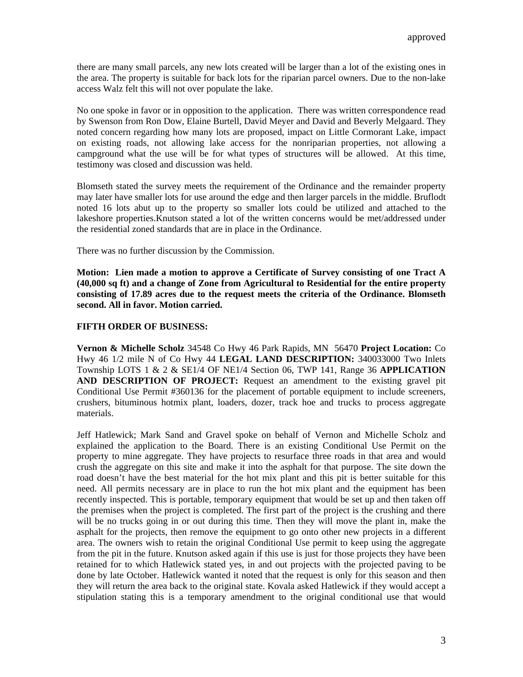there are many small parcels, any new lots created will be larger than a lot of the existing ones in the area. The property is suitable for back lots for the riparian parcel owners. Due to the non-lake access Walz felt this will not over populate the lake.

No one spoke in favor or in opposition to the application. There was written correspondence read by Swenson from Ron Dow, Elaine Burtell, David Meyer and David and Beverly Melgaard. They noted concern regarding how many lots are proposed, impact on Little Cormorant Lake, impact on existing roads, not allowing lake access for the nonriparian properties, not allowing a campground what the use will be for what types of structures will be allowed. At this time, testimony was closed and discussion was held.

Blomseth stated the survey meets the requirement of the Ordinance and the remainder property may later have smaller lots for use around the edge and then larger parcels in the middle. Bruflodt noted 16 lots abut up to the property so smaller lots could be utilized and attached to the lakeshore properties.Knutson stated a lot of the written concerns would be met/addressed under the residential zoned standards that are in place in the Ordinance.

There was no further discussion by the Commission.

**Motion: Lien made a motion to approve a Certificate of Survey consisting of one Tract A (40,000 sq ft) and a change of Zone from Agricultural to Residential for the entire property consisting of 17.89 acres due to the request meets the criteria of the Ordinance. Blomseth second. All in favor. Motion carried.** 

### **FIFTH ORDER OF BUSINESS:**

**Vernon & Michelle Scholz** 34548 Co Hwy 46 Park Rapids, MN 56470 **Project Location:** Co Hwy 46 1/2 mile N of Co Hwy 44 **LEGAL LAND DESCRIPTION:** 340033000 Two Inlets Township LOTS 1 & 2 & SE1/4 OF NE1/4 Section 06, TWP 141, Range 36 **APPLICATION AND DESCRIPTION OF PROJECT:** Request an amendment to the existing gravel pit Conditional Use Permit #360136 for the placement of portable equipment to include screeners, crushers, bituminous hotmix plant, loaders, dozer, track hoe and trucks to process aggregate materials.

Jeff Hatlewick; Mark Sand and Gravel spoke on behalf of Vernon and Michelle Scholz and explained the application to the Board. There is an existing Conditional Use Permit on the property to mine aggregate. They have projects to resurface three roads in that area and would crush the aggregate on this site and make it into the asphalt for that purpose. The site down the road doesn't have the best material for the hot mix plant and this pit is better suitable for this need. All permits necessary are in place to run the hot mix plant and the equipment has been recently inspected. This is portable, temporary equipment that would be set up and then taken off the premises when the project is completed. The first part of the project is the crushing and there will be no trucks going in or out during this time. Then they will move the plant in, make the asphalt for the projects, then remove the equipment to go onto other new projects in a different area. The owners wish to retain the original Conditional Use permit to keep using the aggregate from the pit in the future. Knutson asked again if this use is just for those projects they have been retained for to which Hatlewick stated yes, in and out projects with the projected paving to be done by late October. Hatlewick wanted it noted that the request is only for this season and then they will return the area back to the original state. Kovala asked Hatlewick if they would accept a stipulation stating this is a temporary amendment to the original conditional use that would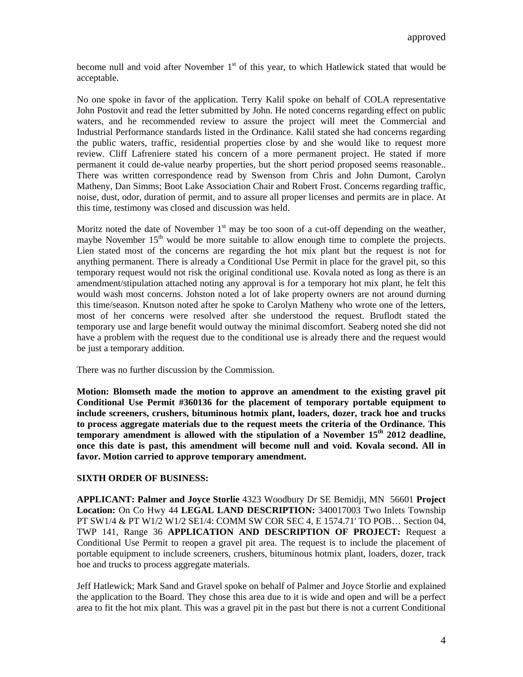become null and void after November 1<sup>st</sup> of this year, to which Hatlewick stated that would be acceptable.

No one spoke in favor of the application. Terry Kalil spoke on behalf of COLA representative John Postovit and read the letter submitted by John. He noted concerns regarding effect on public waters, and he recommended review to assure the project will meet the Commercial and Industrial Performance standards listed in the Ordinance. Kalil stated she had concerns regarding the public waters, traffic, residential properties close by and she would like to request more review. Cliff Lafreniere stated his concern of a more permanent project. He stated if more permanent it could de-value nearby properties, but the short period proposed seems reasonable.. There was written correspondence read by Swenson from Chris and John Dumont, Carolyn Matheny, Dan Simms; Boot Lake Association Chair and Robert Frost. Concerns regarding traffic, noise, dust, odor, duration of permit, and to assure all proper licenses and permits are in place. At this time, testimony was closed and discussion was held.

Moritz noted the date of November  $1<sup>st</sup>$  may be too soon of a cut-off depending on the weather, maybe November  $15<sup>th</sup>$  would be more suitable to allow enough time to complete the projects. Lien stated most of the concerns are regarding the hot mix plant but the request is not for anything permanent. There is already a Conditional Use Permit in place for the gravel pit, so this temporary request would not risk the original conditional use. Kovala noted as long as there is an amendment/stipulation attached noting any approval is for a temporary hot mix plant, he felt this would wash most concerns. Johston noted a lot of lake property owners are not around durning this time/season. Knutson noted after he spoke to Carolyn Matheny who wrote one of the letters, most of her concerns were resolved after she understood the request. Bruflodt stated the temporary use and large benefit would outway the minimal discomfort. Seaberg noted she did not have a problem with the request due to the conditional use is already there and the request would be just a temporary addition.

There was no further discussion by the Commission.

**Motion: Blomseth made the motion to approve an amendment to the existing gravel pit Conditional Use Permit #360136 for the placement of temporary portable equipment to include screeners, crushers, bituminous hotmix plant, loaders, dozer, track hoe and trucks to process aggregate materials due to the request meets the criteria of the Ordinance. This**  temporary amendment is allowed with the stipulation of a November 15<sup>th</sup> 2012 deadline, **once this date is past, this amendment will become null and void. Kovala second. All in favor. Motion carried to approve temporary amendment.** 

### **SIXTH ORDER OF BUSINESS:**

**APPLICANT: Palmer and Joyce Storlie** 4323 Woodbury Dr SE Bemidji, MN 56601 **Project Location:** On Co Hwy 44 **LEGAL LAND DESCRIPTION:** 340017003 Two Inlets Township PT SW1/4 & PT W1/2 W1/2 SE1/4: COMM SW COR SEC 4, E 1574.71' TO POB… Section 04, TWP 141, Range 36 **APPLICATION AND DESCRIPTION OF PROJECT:** Request a Conditional Use Permit to reopen a gravel pit area. The request is to include the placement of portable equipment to include screeners, crushers, bituminous hotmix plant, loaders, dozer, track hoe and trucks to process aggregate materials.

Jeff Hatlewick; Mark Sand and Gravel spoke on behalf of Palmer and Joyce Storlie and explained the application to the Board. They chose this area due to it is wide and open and will be a perfect area to fit the hot mix plant. This was a gravel pit in the past but there is not a current Conditional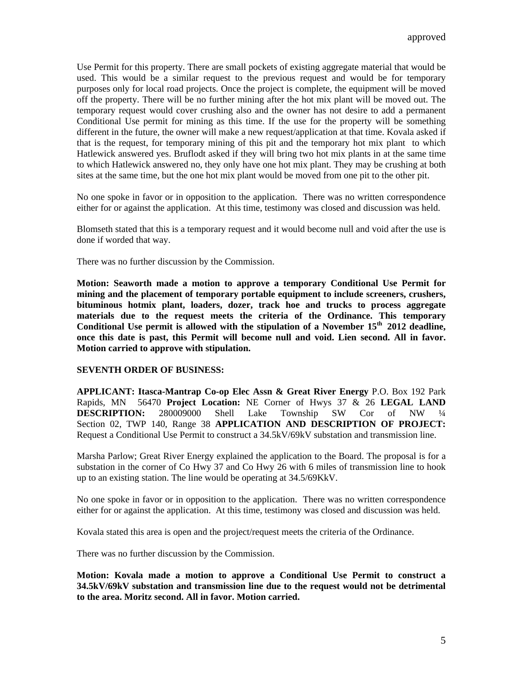Use Permit for this property. There are small pockets of existing aggregate material that would be used. This would be a similar request to the previous request and would be for temporary purposes only for local road projects. Once the project is complete, the equipment will be moved off the property. There will be no further mining after the hot mix plant will be moved out. The temporary request would cover crushing also and the owner has not desire to add a permanent Conditional Use permit for mining as this time. If the use for the property will be something different in the future, the owner will make a new request/application at that time. Kovala asked if that is the request, for temporary mining of this pit and the temporary hot mix plant to which Hatlewick answered yes. Bruflodt asked if they will bring two hot mix plants in at the same time to which Hatlewick answered no, they only have one hot mix plant. They may be crushing at both sites at the same time, but the one hot mix plant would be moved from one pit to the other pit.

No one spoke in favor or in opposition to the application. There was no written correspondence either for or against the application. At this time, testimony was closed and discussion was held.

Blomseth stated that this is a temporary request and it would become null and void after the use is done if worded that way.

There was no further discussion by the Commission.

**Motion: Seaworth made a motion to approve a temporary Conditional Use Permit for mining and the placement of temporary portable equipment to include screeners, crushers, bituminous hotmix plant, loaders, dozer, track hoe and trucks to process aggregate materials due to the request meets the criteria of the Ordinance. This temporary Conditional Use permit is allowed with the stipulation of a November 15th 2012 deadline, once this date is past, this Permit will become null and void. Lien second. All in favor. Motion carried to approve with stipulation.** 

#### **SEVENTH ORDER OF BUSINESS:**

**APPLICANT: Itasca-Mantrap Co-op Elec Assn & Great River Energy** P.O. Box 192 Park Rapids, MN 56470 **Project Location:** NE Corner of Hwys 37 & 26 **LEGAL LAND DESCRIPTION:** 280009000 Shell Lake Township SW Cor of NW ¼ Section 02, TWP 140, Range 38 **APPLICATION AND DESCRIPTION OF PROJECT:** Request a Conditional Use Permit to construct a 34.5kV/69kV substation and transmission line.

Marsha Parlow; Great River Energy explained the application to the Board. The proposal is for a substation in the corner of Co Hwy 37 and Co Hwy 26 with 6 miles of transmission line to hook up to an existing station. The line would be operating at 34.5/69KkV.

No one spoke in favor or in opposition to the application. There was no written correspondence either for or against the application. At this time, testimony was closed and discussion was held.

Kovala stated this area is open and the project/request meets the criteria of the Ordinance.

There was no further discussion by the Commission.

**Motion: Kovala made a motion to approve a Conditional Use Permit to construct a 34.5kV/69kV substation and transmission line due to the request would not be detrimental to the area. Moritz second. All in favor. Motion carried.**